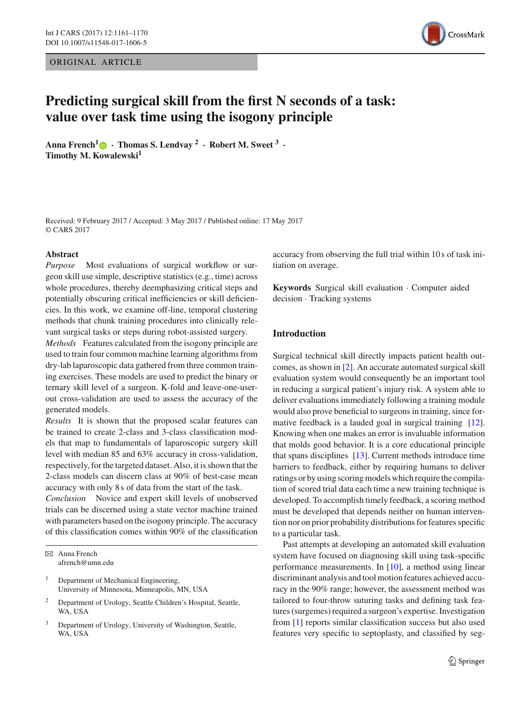ORIGINAL ARTICLE



# **Predicting surgical skill from the first N seconds of a task: value over task time using the isogony principle**

**Anna French[1](http://orcid.org/0000-0001-6196-3116) · Thomas S. Lendvay <sup>2</sup> · Robert M. Sweet <sup>3</sup> · Timothy M. Kowalewski<sup>1</sup>**

Received: 9 February 2017 / Accepted: 3 May 2017 / Published online: 17 May 2017 © CARS 2017

#### **Abstract**

*Purpose* Most evaluations of surgical workflow or surgeon skill use simple, descriptive statistics (e.g., time) across whole procedures, thereby deemphasizing critical steps and potentially obscuring critical inefficiencies or skill deficiencies. In this work, we examine off-line, temporal clustering methods that chunk training procedures into clinically relevant surgical tasks or steps during robot-assisted surgery.

*Methods* Features calculated from the isogony principle are used to train four common machine learning algorithms from dry-lab laparoscopic data gathered from three common training exercises. These models are used to predict the binary or ternary skill level of a surgeon. K-fold and leave-one-userout cross-validation are used to assess the accuracy of the generated models.

*Results* It is shown that the proposed scalar features can be trained to create 2-class and 3-class classification models that map to fundamentals of laparoscopic surgery skill level with median 85 and 63% accuracy in cross-validation, respectively, for the targeted dataset. Also, it is shown that the 2-class models can discern class at 90% of best-case mean accuracy with only 8 s of data from the start of the task.

*Conclusion* Novice and expert skill levels of unobserved trials can be discerned using a state vector machine trained with parameters based on the isogony principle. The accuracy of this classification comes within 90% of the classification

B Anna French afrench@umn.edu

- <sup>1</sup> Department of Mechanical Engineering, University of Minnesota, Minneapolis, MN, USA
- <sup>2</sup> Department of Urology, Seattle Children's Hospital, Seattle, WA, USA
- <sup>3</sup> Department of Urology, University of Washington, Seattle, WA, USA

accuracy from observing the full trial within 10 s of task initiation on average.

**Keywords** Surgical skill evaluation · Computer aided decision · Tracking systems

## **Introduction**

Surgical technical skill directly impacts patient health outcomes, as shown in [\[2\]](#page-8-0). An accurate automated surgical skill evaluation system would consequently be an important tool in reducing a surgical patient's injury risk. A system able to deliver evaluations immediately following a training module would also prove beneficial to surgeons in training, since for-mative feedback is a lauded goal in surgical training [\[12](#page-9-0)]. Knowing when one makes an error is invaluable information that molds good behavior. It is a core educational principle that spans disciplines [\[13](#page-9-1)]. Current methods introduce time barriers to feedback, either by requiring humans to deliver ratings or by using scoring models which require the compilation of scored trial data each time a new training technique is developed. To accomplish timely feedback, a scoring method must be developed that depends neither on human intervention nor on prior probability distributions for features specific to a particular task.

Past attempts at developing an automated skill evaluation system have focused on diagnosing skill using task-specific performance measurements. In [\[10](#page-8-1)], a method using linear discriminant analysis and tool motion features achieved accuracy in the 90% range; however, the assessment method was tailored to four-throw suturing tasks and defining task features (surgemes) required a surgeon's expertise. Investigation from [\[1\]](#page-8-2) reports similar classification success but also used features very specific to septoplasty, and classified by seg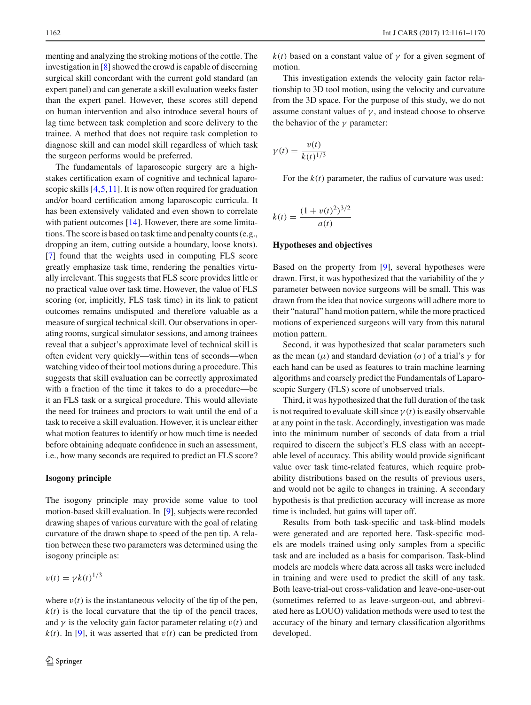menting and analyzing the stroking motions of the cottle. The investigation in [\[8](#page-8-3)] showed the crowd is capable of discerning surgical skill concordant with the current gold standard (an expert panel) and can generate a skill evaluation weeks faster than the expert panel. However, these scores still depend on human intervention and also introduce several hours of lag time between task completion and score delivery to the trainee. A method that does not require task completion to diagnose skill and can model skill regardless of which task the surgeon performs would be preferred.

The fundamentals of laparoscopic surgery are a highstakes certification exam of cognitive and technical laparoscopic skills  $[4,5,11]$  $[4,5,11]$  $[4,5,11]$  $[4,5,11]$ . It is now often required for graduation and/or board certification among laparoscopic curricula. It has been extensively validated and even shown to correlate with patient outcomes [\[14](#page-9-2)]. However, there are some limitations. The score is based on task time and penalty counts (e.g., dropping an item, cutting outside a boundary, loose knots). [\[7](#page-8-7)] found that the weights used in computing FLS score greatly emphasize task time, rendering the penalties virtually irrelevant. This suggests that FLS score provides little or no practical value over task time. However, the value of FLS scoring (or, implicitly, FLS task time) in its link to patient outcomes remains undisputed and therefore valuable as a measure of surgical technical skill. Our observations in operating rooms, surgical simulator sessions, and among trainees reveal that a subject's approximate level of technical skill is often evident very quickly—within tens of seconds—when watching video of their tool motions during a procedure. This suggests that skill evaluation can be correctly approximated with a fraction of the time it takes to do a procedure—be it an FLS task or a surgical procedure. This would alleviate the need for trainees and proctors to wait until the end of a task to receive a skill evaluation. However, it is unclear either what motion features to identify or how much time is needed before obtaining adequate confidence in such an assessment, i.e., how many seconds are required to predict an FLS score?

#### **Isogony principle**

The isogony principle may provide some value to tool motion-based skill evaluation. In [\[9\]](#page-8-8), subjects were recorded drawing shapes of various curvature with the goal of relating curvature of the drawn shape to speed of the pen tip. A relation between these two parameters was determined using the isogony principle as:

$$
v(t) = \gamma k(t)^{1/3}
$$

where  $v(t)$  is the instantaneous velocity of the tip of the pen,  $k(t)$  is the local curvature that the tip of the pencil traces, and  $\gamma$  is the velocity gain factor parameter relating  $v(t)$  and  $k(t)$ . In [\[9](#page-8-8)], it was asserted that  $v(t)$  can be predicted from  $k(t)$  based on a constant value of  $\gamma$  for a given segment of motion.

This investigation extends the velocity gain factor relationship to 3D tool motion, using the velocity and curvature from the 3D space. For the purpose of this study, we do not assume constant values of  $\gamma$ , and instead choose to observe the behavior of the  $\gamma$  parameter:

$$
\gamma(t) = \frac{v(t)}{k(t)^{1/3}}
$$

For the  $k(t)$  parameter, the radius of curvature was used:

$$
k(t) = \frac{(1 + v(t)^2)^{3/2}}{a(t)}
$$

#### **Hypotheses and objectives**

Based on the property from [\[9\]](#page-8-8), several hypotheses were drawn. First, it was hypothesized that the variability of the  $\gamma$ parameter between novice surgeons will be small. This was drawn from the idea that novice surgeons will adhere more to their "natural" hand motion pattern, while the more practiced motions of experienced surgeons will vary from this natural motion pattern.

Second, it was hypothesized that scalar parameters such as the mean ( $\mu$ ) and standard deviation ( $\sigma$ ) of a trial's  $\gamma$  for each hand can be used as features to train machine learning algorithms and coarsely predict the Fundamentals of Laparoscopic Surgery (FLS) score of unobserved trials.

Third, it was hypothesized that the full duration of the task is not required to evaluate skill since  $\gamma(t)$  is easily observable at any point in the task. Accordingly, investigation was made into the minimum number of seconds of data from a trial required to discern the subject's FLS class with an acceptable level of accuracy. This ability would provide significant value over task time-related features, which require probability distributions based on the results of previous users, and would not be agile to changes in training. A secondary hypothesis is that prediction accuracy will increase as more time is included, but gains will taper off.

Results from both task-specific and task-blind models were generated and are reported here. Task-specific models are models trained using only samples from a specific task and are included as a basis for comparison. Task-blind models are models where data across all tasks were included in training and were used to predict the skill of any task. Both leave-trial-out cross-validation and leave-one-user-out (sometimes referred to as leave-surgeon-out, and abbreviated here as LOUO) validation methods were used to test the accuracy of the binary and ternary classification algorithms developed.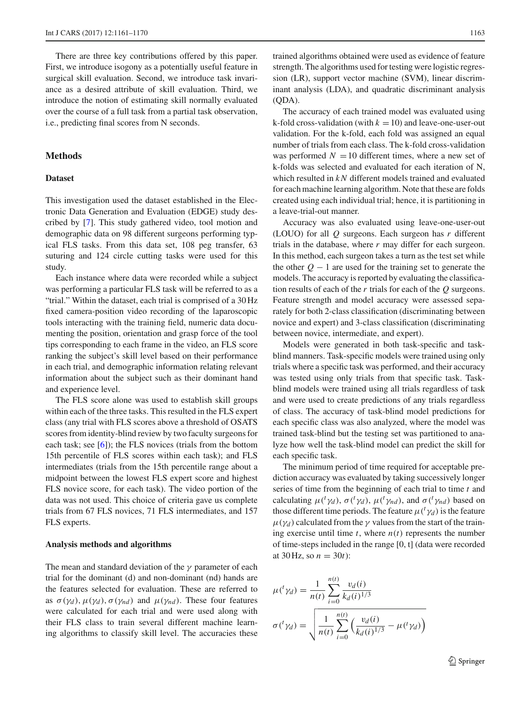There are three key contributions offered by this paper. First, we introduce isogony as a potentially useful feature in surgical skill evaluation. Second, we introduce task invariance as a desired attribute of skill evaluation. Third, we introduce the notion of estimating skill normally evaluated over the course of a full task from a partial task observation, i.e., predicting final scores from N seconds.

## **Methods**

## **Dataset**

This investigation used the dataset established in the Electronic Data Generation and Evaluation (EDGE) study described by [\[7](#page-8-7)]. This study gathered video, tool motion and demographic data on 98 different surgeons performing typical FLS tasks. From this data set, 108 peg transfer, 63 suturing and 124 circle cutting tasks were used for this study.

Each instance where data were recorded while a subject was performing a particular FLS task will be referred to as a "trial." Within the dataset, each trial is comprised of a 30 Hz fixed camera-position video recording of the laparoscopic tools interacting with the training field, numeric data documenting the position, orientation and grasp force of the tool tips corresponding to each frame in the video, an FLS score ranking the subject's skill level based on their performance in each trial, and demographic information relating relevant information about the subject such as their dominant hand and experience level.

The FLS score alone was used to establish skill groups within each of the three tasks. This resulted in the FLS expert class (any trial with FLS scores above a threshold of OSATS scores from identity-blind review by two faculty surgeons for each task; see [\[6\]](#page-8-9)); the FLS novices (trials from the bottom 15th percentile of FLS scores within each task); and FLS intermediates (trials from the 15th percentile range about a midpoint between the lowest FLS expert score and highest FLS novice score, for each task). The video portion of the data was not used. This choice of criteria gave us complete trials from 67 FLS novices, 71 FLS intermediates, and 157 FLS experts.

#### **Analysis methods and algorithms**

The mean and standard deviation of the  $\gamma$  parameter of each trial for the dominant (d) and non-dominant (nd) hands are the features selected for evaluation. These are referred to as  $\sigma(\gamma_d)$ ,  $\mu(\gamma_d)$ ,  $\sigma(\gamma_{nd})$  and  $\mu(\gamma_{nd})$ . These four features were calculated for each trial and were used along with their FLS class to train several different machine learning algorithms to classify skill level. The accuracies these

trained algorithms obtained were used as evidence of feature strength. The algorithms used for testing were logistic regression (LR), support vector machine (SVM), linear discriminant analysis (LDA), and quadratic discriminant analysis (QDA).

The accuracy of each trained model was evaluated using k-fold cross-validation (with  $k = 10$ ) and leave-one-user-out validation. For the k-fold, each fold was assigned an equal number of trials from each class. The k-fold cross-validation was performed  $N = 10$  different times, where a new set of k-folds was selected and evaluated for each iteration of N, which resulted in *kN* different models trained and evaluated for each machine learning algorithm. Note that these are folds created using each individual trial; hence, it is partitioning in a leave-trial-out manner.

Accuracy was also evaluated using leave-one-user-out (LOUO) for all *Q* surgeons. Each surgeon has *r* different trials in the database, where *r* may differ for each surgeon. In this method, each surgeon takes a turn as the test set while the other  $Q - 1$  are used for the training set to generate the models. The accuracy is reported by evaluating the classification results of each of the *r* trials for each of the *Q* surgeons. Feature strength and model accuracy were assessed separately for both 2-class classification (discriminating between novice and expert) and 3-class classification (discriminating between novice, intermediate, and expert).

Models were generated in both task-specific and taskblind manners. Task-specific models were trained using only trials where a specific task was performed, and their accuracy was tested using only trials from that specific task. Taskblind models were trained using all trials regardless of task and were used to create predictions of any trials regardless of class. The accuracy of task-blind model predictions for each specific class was also analyzed, where the model was trained task-blind but the testing set was partitioned to analyze how well the task-blind model can predict the skill for each specific task.

The minimum period of time required for acceptable prediction accuracy was evaluated by taking successively longer series of time from the beginning of each trial to time *t* and calculating  $\mu({}^t\gamma_d)$ ,  $\sigma({}^t\gamma_d)$ ,  $\mu({}^t\gamma_{nd})$ , and  $\sigma({}^t\gamma_{nd})$  based on those different time periods. The feature  $\mu({}^{t}\gamma_{d})$  is the feature  $\mu(\gamma_d)$  calculated from the  $\gamma$  values from the start of the training exercise until time  $t$ , where  $n(t)$  represents the number of time-steps included in the range [0, t] (data were recorded at 30 Hz, so  $n = 30t$ :

$$
\mu({}^{t}\gamma_d) = \frac{1}{n(t)} \sum_{i=0}^{n(t)} \frac{v_d(i)}{k_d(i)^{1/3}}
$$

$$
\sigma({}^{t}\gamma_d) = \sqrt{\frac{1}{n(t)} \sum_{i=0}^{n(t)} \left(\frac{v_d(i)}{k_d(i)^{1/3}} - \mu({}^{t}\gamma_d)\right)}
$$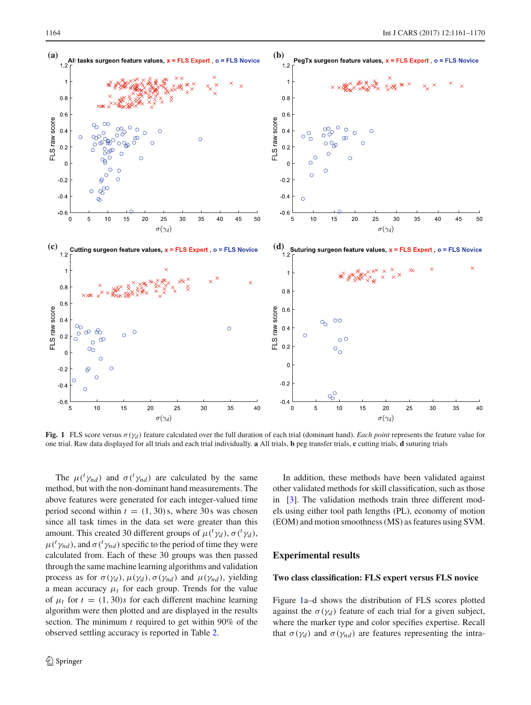

<span id="page-3-0"></span>**Fig. 1** FLS score versus  $\sigma(\gamma_d)$  feature calculated over the full duration of each trial (dominant hand). *Each point* represents the feature value for one trial. Raw data displayed for all trials and each trial individually. **a** All trials, **b** peg transfer trials, **c** cutting trials, **d** suturing trials

The  $\mu({}^t\gamma_{nd})$  and  $\sigma({}^t\gamma_{nd})$  are calculated by the same method, but with the non-dominant hand measurements. The above features were generated for each integer-valued time period second within  $t = (1, 30)$  s, where 30 s was chosen since all task times in the data set were greater than this amount. This created 30 different groups of  $\mu({}^{t}\gamma_d)$ ,  $\sigma({}^{t}\gamma_d)$ ,  $\mu({}^{t}\gamma_{nd})$ , and  $\sigma({}^{t}\gamma_{nd})$  specific to the period of time they were calculated from. Each of these 30 groups was then passed through the same machine learning algorithms and validation process as for  $\sigma(\gamma_d)$ ,  $\mu(\gamma_d)$ ,  $\sigma(\gamma_{nd})$  and  $\mu(\gamma_{nd})$ , yielding a mean accuracy  $\mu_t$  for each group. Trends for the value of  $\mu_t$  for  $t = (1, 30)s$  for each different machine learning algorithm were then plotted and are displayed in the results section. The minimum *t* required to get within 90% of the observed settling accuracy is reported in Table [2.](#page-6-0)

In addition, these methods have been validated against other validated methods for skill classification, such as those in [\[3\]](#page-8-10). The validation methods train three different models using either tool path lengths (PL), economy of motion (EOM) and motion smoothness (MS) as features using SVM.

#### **Experimental results**

#### **Two class classification: FLS expert versus FLS novice**

Figure [1a](#page-3-0)–d shows the distribution of FLS scores plotted against the  $\sigma(\gamma_d)$  feature of each trial for a given subject, where the marker type and color specifies expertise. Recall that  $\sigma(\gamma_d)$  and  $\sigma(\gamma_{nd})$  are features representing the intra-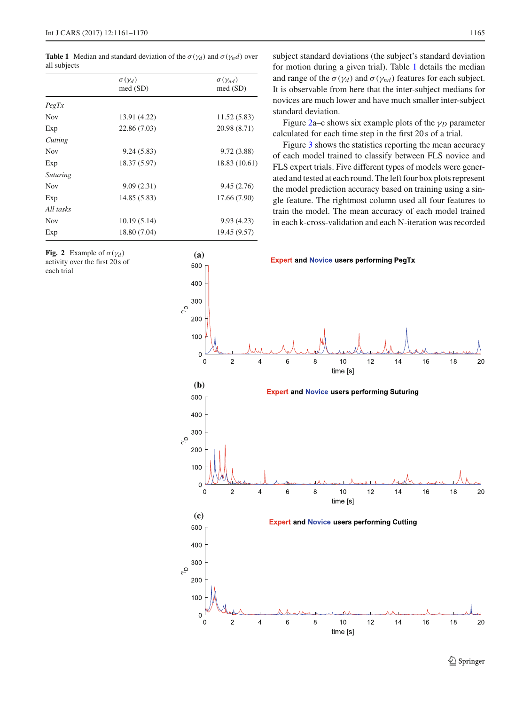<span id="page-4-0"></span>**Table 1** Median and standard deviation of the  $\sigma(\gamma_d)$  and  $\sigma(\gamma_n d)$  over all subjects

|                 | $\sigma(\gamma_d)$<br>med (SD) | $\sigma(\gamma_{nd})$<br>med (SD) |
|-----------------|--------------------------------|-----------------------------------|
| PegTx           |                                |                                   |
| <b>Nov</b>      | 13.91 (4.22)                   | 11.52 (5.83)                      |
| Exp             | 22.86 (7.03)                   | 20.98 (8.71)                      |
| Cutting         |                                |                                   |
| <b>Nov</b>      | 9.24(5.83)                     | 9.72(3.88)                        |
| Exp             | 18.37 (5.97)                   | 18.83 (10.61)                     |
| <i>Suturing</i> |                                |                                   |
| <b>Nov</b>      | 9.09(2.31)                     | 9.45(2.76)                        |
| Exp             | 14.85 (5.83)                   | 17.66 (7.90)                      |
| All tasks       |                                |                                   |
| <b>Nov</b>      | 10.19(5.14)                    | 9.93(4.23)                        |
| Exp             | 18.80 (7.04)                   | 19.45 (9.57)                      |

<span id="page-4-1"></span>**Fig. 2** Example of  $\sigma(\gamma_d)$ activity over the first 20 s of each trial

subject standard deviations (the subject's standard deviation for motion during a given trial). Table [1](#page-4-0) details the median and range of the  $\sigma(\gamma_d)$  and  $\sigma(\gamma_{nd})$  features for each subject. It is observable from here that the inter-subject medians for novices are much lower and have much smaller inter-subject standard deviation.

Figure [2a](#page-4-1)–c shows six example plots of the  $\gamma_D$  parameter calculated for each time step in the first 20 s of a trial.

Figure [3](#page-5-0) shows the statistics reporting the mean accuracy of each model trained to classify between FLS novice and FLS expert trials. Five different types of models were generated and tested at each round. The left four box plots represent the model prediction accuracy based on training using a single feature. The rightmost column used all four features to train the model. The mean accuracy of each model trained in each k-cross-validation and each N-iteration was recorded

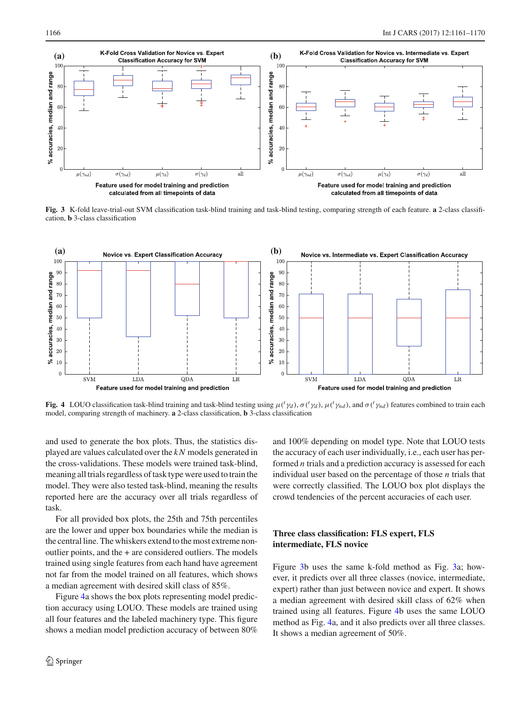

<span id="page-5-0"></span>**Fig. 3** K-fold leave-trial-out SVM classification task-blind training and task-blind testing, comparing strength of each feature. **a** 2-class classification, **b** 3-class classification



<span id="page-5-1"></span>**Fig. 4** LOUO classification task-blind training and task-blind testing using  $\mu({}^t\gamma_d)$ ,  $\sigma({}^t\gamma_d)$ ,  $\mu({}^t\gamma_{nd})$ , and  $\sigma({}^t\gamma_{nd})$  features combined to train each model, comparing strength of machinery. **a** 2-class classification, **b** 3-class classification

and used to generate the box plots. Thus, the statistics displayed are values calculated over the *kN* models generated in the cross-validations. These models were trained task-blind, meaning all trials regardless of task type were used to train the model. They were also tested task-blind, meaning the results reported here are the accuracy over all trials regardless of task.

For all provided box plots, the 25th and 75th percentiles are the lower and upper box boundaries while the median is the central line. The whiskers extend to the most extreme nonoutlier points, and the + are considered outliers. The models trained using single features from each hand have agreement not far from the model trained on all features, which shows a median agreement with desired skill class of 85%.

Figure [4a](#page-5-1) shows the box plots representing model prediction accuracy using LOUO. These models are trained using all four features and the labeled machinery type. This figure shows a median model prediction accuracy of between 80%

and 100% depending on model type. Note that LOUO tests the accuracy of each user individually, i.e., each user has performed *n* trials and a prediction accuracy is assessed for each individual user based on the percentage of those *n* trials that were correctly classified. The LOUO box plot displays the crowd tendencies of the percent accuracies of each user.

# **Three class classification: FLS expert, FLS intermediate, FLS novice**

Figure [3b](#page-5-0) uses the same k-fold method as Fig. [3a](#page-5-0); however, it predicts over all three classes (novice, intermediate, expert) rather than just between novice and expert. It shows a median agreement with desired skill class of 62% when trained using all features. Figure [4b](#page-5-1) uses the same LOUO method as Fig. [4a](#page-5-1), and it also predicts over all three classes. It shows a median agreement of 50%.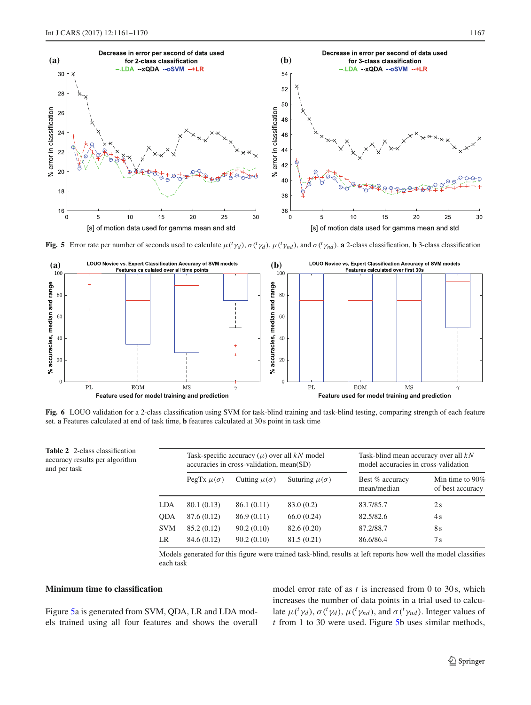

<span id="page-6-1"></span>Fig. 5 Error rate per number of seconds used to calculate  $\mu({}^t\gamma_d)$ ,  $\sigma({}^t\gamma_d)$ ,  $\mu({}^t\gamma_{nd})$ , and  $\sigma({}^t\gamma_{nd})$ . a 2-class classification, **b** 3-class classification



<span id="page-6-2"></span>**Fig. 6** LOUO validation for a 2-class classification using SVM for task-blind training and task-blind testing, comparing strength of each feature set. **a** Features calculated at end of task time, **b** features calculated at 30 s point in task time

<span id="page-6-0"></span>

| <b>Table 2</b> 2-class classification<br>accuracy results per algorithm<br>and per task |            | Task-specific accuracy $(\mu)$ over all kN model<br>accuracies in cross-validation, mean(SD) |                       |                        | Task-blind mean accuracy over all $kN$<br>model accuracies in cross-validation |                                        |
|-----------------------------------------------------------------------------------------|------------|----------------------------------------------------------------------------------------------|-----------------------|------------------------|--------------------------------------------------------------------------------|----------------------------------------|
|                                                                                         |            | PegTx $\mu(\sigma)$                                                                          | Cutting $\mu(\sigma)$ | Suturing $\mu(\sigma)$ | Best % accuracy<br>mean/median                                                 | Min time to $90\%$<br>of best accuracy |
|                                                                                         | LDA        | 80.1 (0.13)                                                                                  | 86.1 (0.11)           | 83.0 (0.2)             | 83.7/85.7                                                                      | 2s                                     |
|                                                                                         | <b>ODA</b> | 87.6 (0.12)                                                                                  | 86.9(0.11)            | 66.0(0.24)             | 82.5/82.6                                                                      | 4s                                     |
|                                                                                         | <b>SVM</b> | 85.2 (0.12)                                                                                  | 90.2(0.10)            | 82.6 (0.20)            | 87.2/88.7                                                                      | 8 s                                    |
|                                                                                         | LR         | 84.6 (0.12)                                                                                  | 90.2(0.10)            | 81.5(0.21)             | 86.6/86.4                                                                      | 7s                                     |

Models generated for this figure were trained task-blind, results at left reports how well the model classifies each task

#### **Minimum time to classification**

Figure [5a](#page-6-1) is generated from SVM, QDA, LR and LDA models trained using all four features and shows the overall model error rate of as *t* is increased from 0 to 30s, which increases the number of data points in a trial used to calculate  $\mu({}^t\gamma_d)$ ,  $\sigma({}^t\gamma_d)$ ,  $\mu({}^t\gamma_{nd})$ , and  $\sigma({}^t\gamma_{nd})$ . Integer values of *t* from 1 to 30 were used. Figure [5b](#page-6-1) uses similar methods,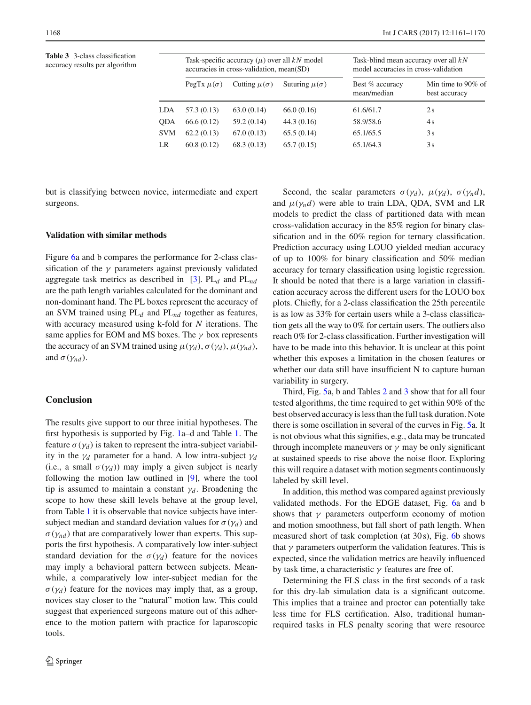<span id="page-7-0"></span>**Table 3** 3-class classification accuracy results per algorithm

|            | Task-specific accuracy $(\mu)$ over all kN model<br>accuracies in cross-validation, mean(SD) |                       |                        | Task-blind mean accuracy over all $kN$<br>model accuracies in cross-validation |                                     |  |
|------------|----------------------------------------------------------------------------------------------|-----------------------|------------------------|--------------------------------------------------------------------------------|-------------------------------------|--|
|            | PegTx $\mu(\sigma)$                                                                          | Cutting $\mu(\sigma)$ | Suturing $\mu(\sigma)$ | Best % accuracy<br>mean/median                                                 | Min time to 90% of<br>best accuracy |  |
| LDA        | 57.3 (0.13)                                                                                  | 63.0(0.14)            | 66.0(0.16)             | 61.6/61.7                                                                      | 2s                                  |  |
| ODA        | 66.6 (0.12)                                                                                  | 59.2 (0.14)           | 44.3 (0.16)            | 58.9/58.6                                                                      | 4s                                  |  |
| <b>SVM</b> | 62.2(0.13)                                                                                   | 67.0(0.13)            | 65.5(0.14)             | 65.1/65.5                                                                      | 3s                                  |  |
| LR         | 60.8(0.12)                                                                                   | 68.3(0.13)            | 65.7(0.15)             | 65.1/64.3                                                                      | 3s                                  |  |
|            |                                                                                              |                       |                        |                                                                                |                                     |  |

but is classifying between novice, intermediate and expert surgeons.

#### **Validation with similar methods**

Figure [6a](#page-6-2) and b compares the performance for 2-class classification of the  $\gamma$  parameters against previously validated aggregate task metrics as described in [\[3\]](#page-8-10). PL*d* and PL*nd* are the path length variables calculated for the dominant and non-dominant hand. The PL boxes represent the accuracy of an SVM trained using PL*d* and PL*nd* together as features, with accuracy measured using k-fold for *N* iterations. The same applies for EOM and MS boxes. The  $\gamma$  box represents the accuracy of an SVM trained using  $\mu(\gamma_d)$ ,  $\sigma(\gamma_d)$ ,  $\mu(\gamma_{nd})$ , and  $\sigma(\gamma_{nd})$ .

# **Conclusion**

The results give support to our three initial hypotheses. The first hypothesis is supported by Fig. [1a](#page-3-0)–d and Table [1.](#page-4-0) The feature  $\sigma(\gamma_d)$  is taken to represent the intra-subject variability in the  $\gamma_d$  parameter for a hand. A low intra-subject  $\gamma_d$ (i.e., a small  $\sigma(\gamma_d)$ ) may imply a given subject is nearly following the motion law outlined in [\[9\]](#page-8-8), where the tool tip is assumed to maintain a constant  $\gamma_d$ . Broadening the scope to how these skill levels behave at the group level, from Table [1](#page-4-0) it is observable that novice subjects have intersubject median and standard deviation values for  $\sigma(\gamma_d)$  and  $\sigma(\gamma_{nd})$  that are comparatively lower than experts. This supports the first hypothesis. A comparatively low inter-subject standard deviation for the  $\sigma(\gamma_d)$  feature for the novices may imply a behavioral pattern between subjects. Meanwhile, a comparatively low inter-subject median for the  $\sigma(\gamma_d)$  feature for the novices may imply that, as a group, novices stay closer to the "natural" motion law. This could suggest that experienced surgeons mature out of this adherence to the motion pattern with practice for laparoscopic tools.

Second, the scalar parameters  $\sigma(\gamma_d)$ ,  $\mu(\gamma_d)$ ,  $\sigma(\gamma_n d)$ , and  $\mu(\gamma_n d)$  were able to train LDA, QDA, SVM and LR models to predict the class of partitioned data with mean cross-validation accuracy in the 85% region for binary classification and in the 60% region for ternary classification. Prediction accuracy using LOUO yielded median accuracy of up to 100% for binary classification and 50% median accuracy for ternary classification using logistic regression. It should be noted that there is a large variation in classification accuracy across the different users for the LOUO box plots. Chiefly, for a 2-class classification the 25th percentile is as low as 33% for certain users while a 3-class classification gets all the way to 0% for certain users. The outliers also reach 0% for 2-class classification. Further investigation will have to be made into this behavior. It is unclear at this point whether this exposes a limitation in the chosen features or whether our data still have insufficient N to capture human variability in surgery.

Third, Fig. [5a](#page-6-1), b and Tables [2](#page-6-0) and [3](#page-7-0) show that for all four tested algorithms, the time required to get within 90% of the best observed accuracy is less than the full task duration. Note there is some oscillation in several of the curves in Fig. [5a](#page-6-1). It is not obvious what this signifies, e.g., data may be truncated through incomplete maneuvers or  $\gamma$  may be only significant at sustained speeds to rise above the noise floor. Exploring this will require a dataset with motion segments continuously labeled by skill level.

In addition, this method was compared against previously validated methods. For the EDGE dataset, Fig. [6a](#page-6-2) and b shows that  $\gamma$  parameters outperform economy of motion and motion smoothness, but fall short of path length. When measured short of task completion (at 30 s), Fig. [6b](#page-6-2) shows that  $\gamma$  parameters outperform the validation features. This is expected, since the validation metrics are heavily influenced by task time, a characteristic  $\gamma$  features are free of.

Determining the FLS class in the first seconds of a task for this dry-lab simulation data is a significant outcome. This implies that a trainee and proctor can potentially take less time for FLS certification. Also, traditional humanrequired tasks in FLS penalty scoring that were resource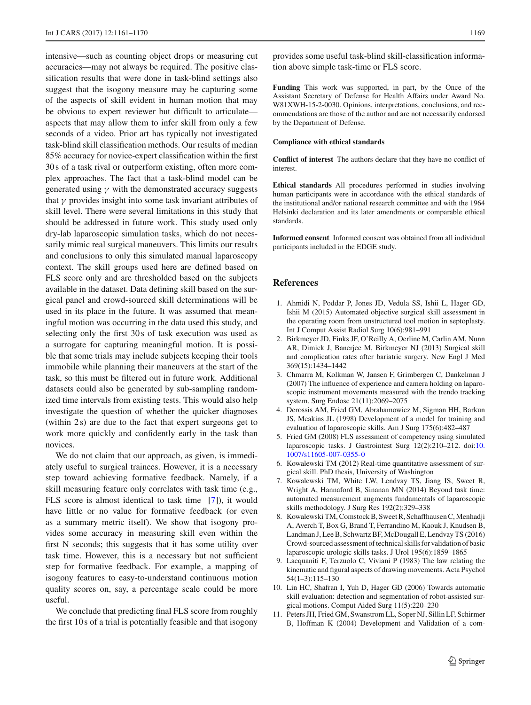intensive—such as counting object drops or measuring cut accuracies—may not always be required. The positive classification results that were done in task-blind settings also suggest that the isogony measure may be capturing some of the aspects of skill evident in human motion that may be obvious to expert reviewer but difficult to articulate aspects that may allow them to infer skill from only a few seconds of a video. Prior art has typically not investigated task-blind skill classification methods. Our results of median 85% accuracy for novice-expert classification within the first 30 s of a task rival or outperform existing, often more complex approaches. The fact that a task-blind model can be generated using  $\gamma$  with the demonstrated accuracy suggests that  $\gamma$  provides insight into some task invariant attributes of skill level. There were several limitations in this study that should be addressed in future work. This study used only dry-lab laparoscopic simulation tasks, which do not necessarily mimic real surgical maneuvers. This limits our results and conclusions to only this simulated manual laparoscopy context. The skill groups used here are defined based on FLS score only and are thresholded based on the subjects available in the dataset. Data defining skill based on the surgical panel and crowd-sourced skill determinations will be used in its place in the future. It was assumed that meaningful motion was occurring in the data used this study, and selecting only the first 30s of task execution was used as a surrogate for capturing meaningful motion. It is possible that some trials may include subjects keeping their tools immobile while planning their maneuvers at the start of the task, so this must be filtered out in future work. Additional datasets could also be generated by sub-sampling randomized time intervals from existing tests. This would also help investigate the question of whether the quicker diagnoses (within 2s) are due to the fact that expert surgeons get to work more quickly and confidently early in the task than novices.

We do not claim that our approach, as given, is immediately useful to surgical trainees. However, it is a necessary step toward achieving formative feedback. Namely, if a skill measuring feature only correlates with task time (e.g., FLS score is almost identical to task time [\[7\]](#page-8-7)), it would have little or no value for formative feedback (or even as a summary metric itself). We show that isogony provides some accuracy in measuring skill even within the first N seconds; this suggests that it has some utility over task time. However, this is a necessary but not sufficient step for formative feedback. For example, a mapping of isogony features to easy-to-understand continuous motion quality scores on, say, a percentage scale could be more useful.

We conclude that predicting final FLS score from roughly the first 10 s of a trial is potentially feasible and that isogony provides some useful task-blind skill-classification information above simple task-time or FLS score.

**Funding** This work was supported, in part, by the Once of the Assistant Secretary of Defense for Health Affairs under Award No. W81XWH-15-2-0030. Opinions, interpretations, conclusions, and recommendations are those of the author and are not necessarily endorsed by the Department of Defense.

#### **Compliance with ethical standards**

**Conflict of interest** The authors declare that they have no conflict of interest.

**Ethical standards** All procedures performed in studies involving human participants were in accordance with the ethical standards of the institutional and/or national research committee and with the 1964 Helsinki declaration and its later amendments or comparable ethical standards.

**Informed consent** Informed consent was obtained from all individual participants included in the EDGE study.

#### **References**

- <span id="page-8-2"></span>1. Ahmidi N, Poddar P, Jones JD, Vedula SS, Ishii L, Hager GD, Ishii M (2015) Automated objective surgical skill assessment in the operating room from unstructured tool motion in septoplasty. Int J Comput Assist Radiol Surg 10(6):981–991
- <span id="page-8-0"></span>2. Birkmeyer JD, Finks JF, O'Reilly A, Oerline M, Carlin AM, Nunn AR, Dimick J, Banerjee M, Birkmeyer NJ (2013) Surgical skill and complication rates after bariatric surgery. New Engl J Med 369(15):1434–1442
- <span id="page-8-10"></span>3. Chmarra M, Kolkman W, Jansen F, Grimbergen C, Dankelman J (2007) The influence of experience and camera holding on laparoscopic instrument movements measured with the trendo tracking system. Surg Endosc 21(11):2069–2075
- <span id="page-8-4"></span>4. Derossis AM, Fried GM, Abrahamowicz M, Sigman HH, Barkun JS, Meakins JL (1998) Development of a model for training and evaluation of laparoscopic skills. Am J Surg 175(6):482–487
- <span id="page-8-5"></span>5. Fried GM (2008) FLS assessment of competency using simulated laparoscopic tasks. J Gastrointest Surg 12(2):210–212. doi[:10.](http://dx.doi.org/10.1007/s11605-007-0355-0) [1007/s11605-007-0355-0](http://dx.doi.org/10.1007/s11605-007-0355-0)
- <span id="page-8-9"></span>6. Kowalewski TM (2012) Real-time quantitative assessment of surgical skill. PhD thesis, University of Washington
- <span id="page-8-7"></span>7. Kowalewski TM, White LW, Lendvay TS, Jiang IS, Sweet R, Wright A, Hannaford B, Sinanan MN (2014) Beyond task time: automated measurement augments fundamentals of laparoscopic skills methodology. J Surg Res 192(2):329–338
- <span id="page-8-3"></span>8. Kowalewski TM, Comstock B, Sweet R, Schaffhausen C, Menhadji A, Averch T, Box G, Brand T, Ferrandino M, Kaouk J, Knudsen B, Landman J, Lee B, Schwartz BF, McDougall E, Lendvay TS (2016) Crowd-sourced assessment of technical skills for validation of basic laparoscopic urologic skills tasks. J Urol 195(6):1859–1865
- <span id="page-8-8"></span>9. Lacquaniti F, Terzuolo C, Viviani P (1983) The law relating the kinematic and figural aspects of drawing movements. Acta Psychol 54(1–3):115–130
- <span id="page-8-1"></span>10. Lin HC, Shafran I, Yuh D, Hager GD (2006) Towards automatic skill evaluation: detection and segmentation of robot-assisted surgical motions. Comput Aided Surg 11(5):220–230
- <span id="page-8-6"></span>11. Peters JH, Fried GM, Swanstrom LL, Soper NJ, Sillin LF, Schirmer B, Hoffman K (2004) Development and Validation of a com-